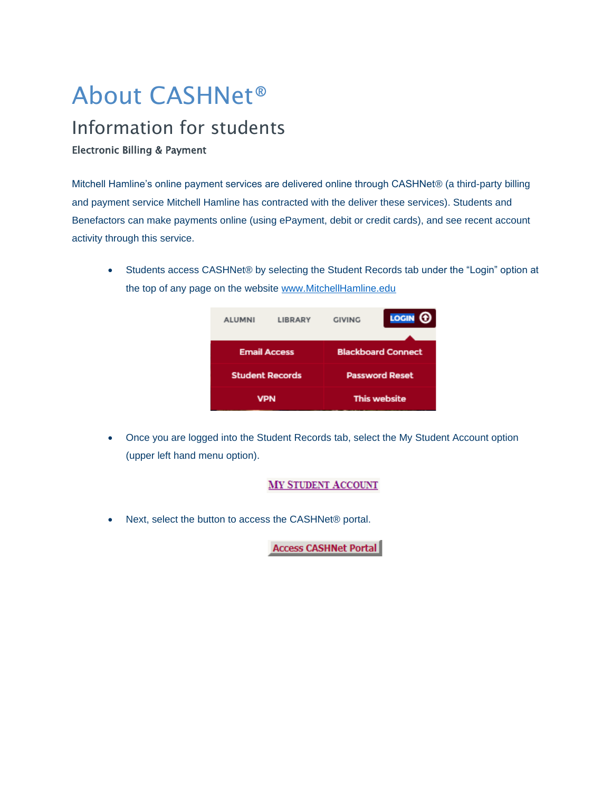# About CASHNet®

# Information for students

#### Electronic Billing & Payment

Mitchell Hamline's online payment services are delivered online through CASHNet® (a third-party billing and payment service Mitchell Hamline has contracted with the deliver these services). Students and Benefactors can make payments online (using ePayment, debit or credit cards), and see recent account activity through this service.

• Students access CASHNet® by selecting the Student Records tab under the "Login" option at the top of any page on the website [www.MitchellHamline.edu](http://www.mitchellhamline.edu/)



• Once you are logged into the Student Records tab, select the My Student Account option (upper left hand menu option).

## **MY STUDENT ACCOUNT**

• Next, select the button to access the CASHNet® portal.

**Access CASHNet Portal**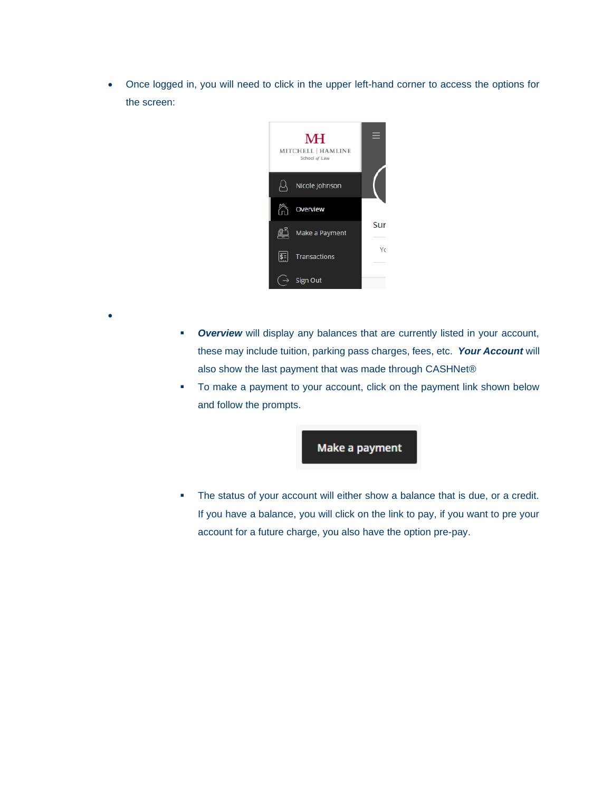• Once logged in, you will need to click in the upper left-hand corner to access the options for the screen:



•

- **Overview** will display any balances that are currently listed in your account, these may include tuition, parking pass charges, fees, etc. *Your Account* will also show the last payment that was made through CASHNet®
- To make a payment to your account, click on the payment link shown below and follow the prompts.

# Make a payment

**•** The status of your account will either show a balance that is due, or a credit. If you have a balance, you will click on the link to pay, if you want to pre your account for a future charge, you also have the option pre-pay.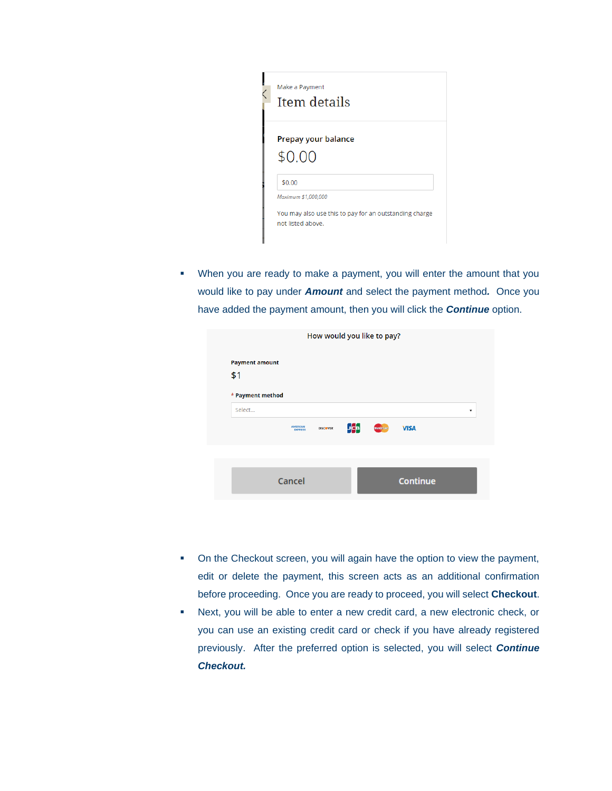| Make a Payment<br>Item details                                                                     |
|----------------------------------------------------------------------------------------------------|
| Prepay your balance<br>\$0.00                                                                      |
| \$0.00                                                                                             |
| Maximum \$1,000,000<br>You may also use this to pay for an outstanding charge<br>not listed above. |

▪ When you are ready to make a payment, you will enter the amount that you would like to pay under *Amount* and select the payment method*.* Once you have added the payment amount, then you will click the *Continue* option.

| How would you like to pay? |                                   |                 |             |                   |                 |   |
|----------------------------|-----------------------------------|-----------------|-------------|-------------------|-----------------|---|
| <b>Payment amount</b>      |                                   |                 |             |                   |                 |   |
| \$1                        |                                   |                 |             |                   |                 |   |
| * Payment method<br>Select |                                   |                 |             |                   |                 | ▼ |
|                            | <b>AMERICAN</b><br><b>EXPRESS</b> | <b>DISCOVER</b> | <b>Lice</b> | <b>MasterCard</b> | <b>VISA</b>     |   |
|                            |                                   |                 |             |                   |                 |   |
|                            |                                   |                 |             |                   |                 |   |
|                            | Cancel                            |                 |             |                   | <b>Continue</b> |   |

- On the Checkout screen, you will again have the option to view the payment, edit or delete the payment, this screen acts as an additional confirmation before proceeding. Once you are ready to proceed, you will select **Checkout**.
- Next, you will be able to enter a new credit card, a new electronic check, or you can use an existing credit card or check if you have already registered previously. After the preferred option is selected, you will select *Continue Checkout.*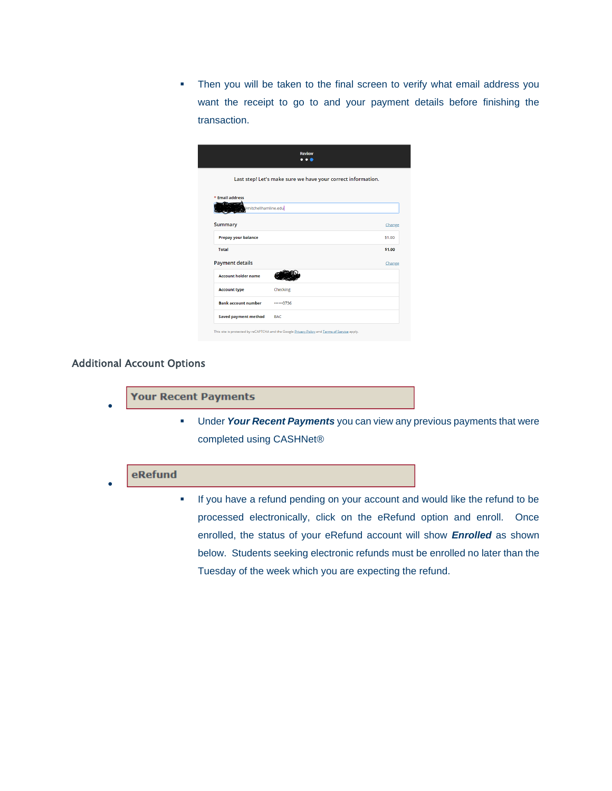**.** Then you will be taken to the final screen to verify what email address you want the receipt to go to and your payment details before finishing the transaction.

|                            | <b>Review</b><br>$\ddotsc$                                   |        |
|----------------------------|--------------------------------------------------------------|--------|
|                            | Last step! Let's make sure we have your correct information. |        |
| * Email address            |                                                              |        |
| @mitchellhamline.edu       |                                                              |        |
| <b>Summary</b>             |                                                              | Change |
| Prepay your balance        |                                                              | \$1.00 |
| <b>Total</b>               |                                                              | \$1.00 |
| <b>Payment details</b>     |                                                              | Change |
| <b>Account holder name</b> |                                                              |        |
| <b>Account type</b>        | Checking                                                     |        |
|                            |                                                              |        |
| <b>Bank account number</b> | 0736                                                         |        |

#### Additional Account Options

| <b>Your Recent Payments</b> |
|-----------------------------|
|-----------------------------|

**EXTER 19 Under Your Recent Payments** you can view any previous payments that were completed using CASHNet®

## eRefund

•

▪ If you have a refund pending on your account and would like the refund to be processed electronically, click on the eRefund option and enroll. Once enrolled, the status of your eRefund account will show *Enrolled* as shown below. Students seeking electronic refunds must be enrolled no later than the Tuesday of the week which you are expecting the refund.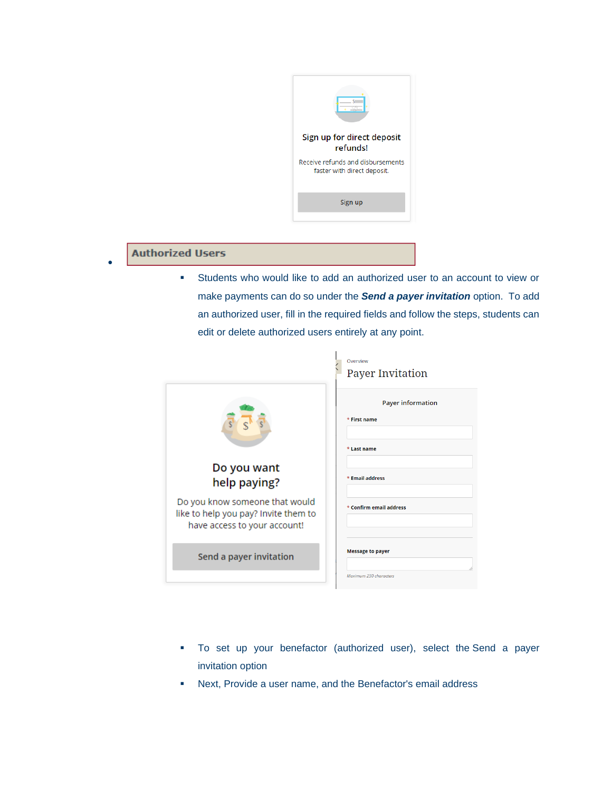

# **Authorized Users**

•

▪ Students who would like to add an authorized user to an account to view or make payments can do so under the *Send a payer invitation* option. To add an authorized user, fill in the required fields and follow the steps, students can edit or delete authorized users entirely at any point.

|                                                                                                        | Overview<br><b>Payer Invitation</b>                     |
|--------------------------------------------------------------------------------------------------------|---------------------------------------------------------|
|                                                                                                        | <b>Payer information</b><br>* First name<br>* Last name |
| Do you want<br>help paying?                                                                            | * Email address                                         |
| Do you know someone that would<br>like to help you pay? Invite them to<br>have access to your account! | * Confirm email address                                 |
| Send a payer invitation                                                                                | <b>Message to payer</b>                                 |
|                                                                                                        | Maximum 250 characters                                  |

- To set up your benefactor (authorized user), select the Send a payer invitation option
- Next, Provide a user name, and the Benefactor's email address